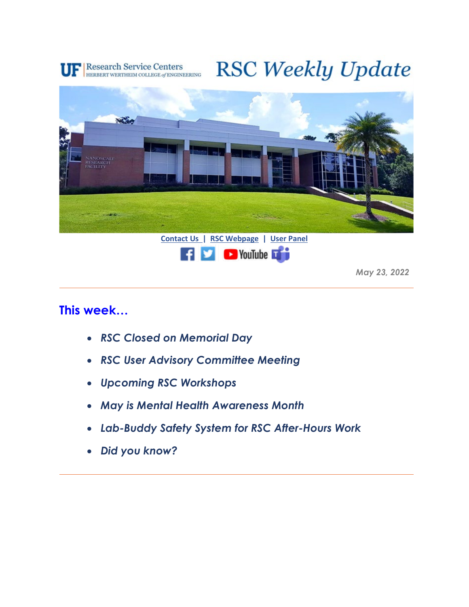

# **RSC Weekly Update**





*May 23, 2022*

#### **This week…**

- *RSC Closed on Memorial Day*
- *RSC User Advisory Committee Meeting*
- *Upcoming RSC Workshops*
- *May is Mental Health Awareness Month*
- *Lab-Buddy Safety System for RSC After-Hours Work*
- *Did you know?*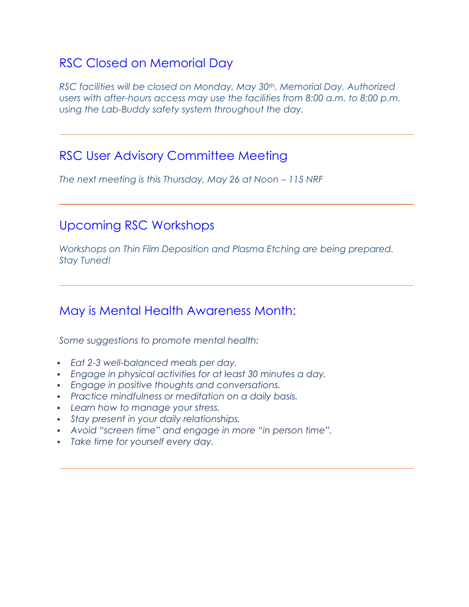# RSC Closed on Memorial Day

*RSC facilities will be closed on Monday, May 30th, Memorial Day. Authorized*  users with after-hours access may use the facilities from 8:00 a.m. to 8:00 p.m. *using the Lab-Buddy safety system throughout the day.*

#### RSC User Advisory Committee Meeting

*The next meeting is this Thursday, May 26 at Noon – 115 NRF*

## Upcoming RSC Workshops

*Workshops on Thin Film Deposition and Plasma Etching are being prepared. Stay Tuned!*

### May is Mental Health Awareness Month:

*Some suggestions to promote mental health:*

- *Eat 2-3 well-balanced meals per day.*
- *Engage in physical activities for at least 30 minutes a day.*
- *Engage in positive thoughts and conversations.*
- *Practice mindfulness or meditation on a daily basis.*
- *Learn how to manage your stress.*
- *Stay present in your daily relationships.*
- *Avoid "screen time" and engage in more "in person time".*
- *Take time for yourself every day.*